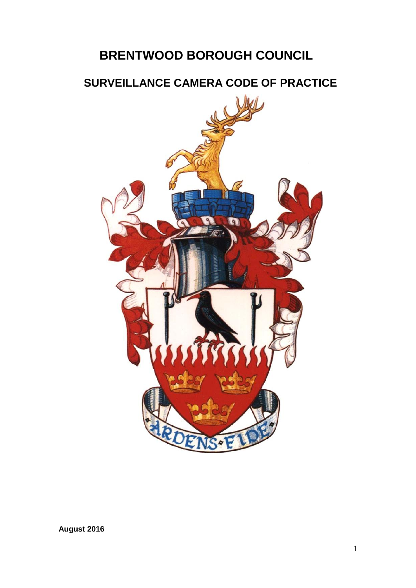# **BRENTWOOD BOROUGH COUNCIL**

# **SURVEILLANCE CAMERA CODE OF PRACTICE**



**August 2016**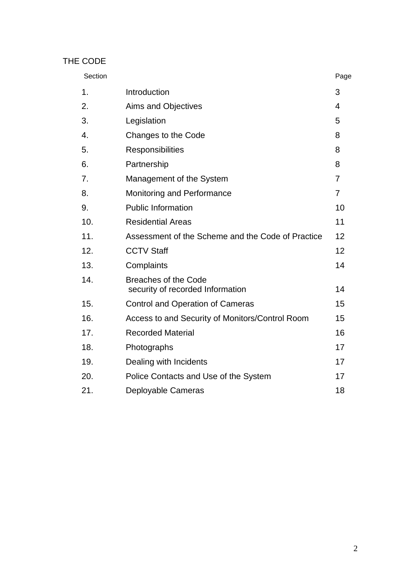# THE CODE

| Section |                                                                 | Page           |
|---------|-----------------------------------------------------------------|----------------|
| 1.      | Introduction                                                    | 3              |
| 2.      | Aims and Objectives                                             | 4              |
| 3.      | Legislation                                                     | 5              |
| 4.      | Changes to the Code                                             | 8              |
| 5.      | Responsibilities                                                | 8              |
| 6.      | Partnership                                                     | 8              |
| 7.      | Management of the System                                        | $\overline{7}$ |
| 8.      | Monitoring and Performance                                      | $\overline{7}$ |
| 9.      | <b>Public Information</b>                                       | 10             |
| 10.     | <b>Residential Areas</b>                                        | 11             |
| 11.     | Assessment of the Scheme and the Code of Practice               | 12             |
| 12.     | <b>CCTV Staff</b>                                               | 12             |
| 13.     | Complaints                                                      | 14             |
| 14.     | <b>Breaches of the Code</b><br>security of recorded Information | 14             |
| 15.     | <b>Control and Operation of Cameras</b>                         | 15             |
| 16.     | Access to and Security of Monitors/Control Room                 | 15             |
| 17.     | <b>Recorded Material</b>                                        | 16             |
| 18.     | Photographs                                                     | 17             |
| 19.     | Dealing with Incidents                                          | 17             |
| 20.     | Police Contacts and Use of the System                           | 17             |
| 21.     | Deployable Cameras                                              | 18             |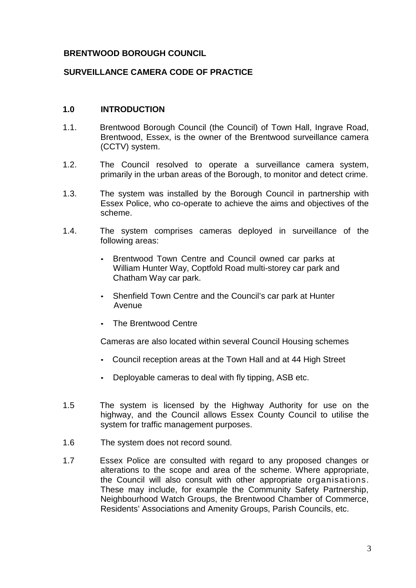#### **BRENTWOOD BOROUGH COUNCIL**

#### **SURVEILLANCE CAMERA CODE OF PRACTICE**

#### **1.0 INTRODUCTION**

- 1.1. Brentwood Borough Council (the Council) of Town Hall, Ingrave Road, Brentwood, Essex, is the owner of the Brentwood surveillance camera (CCTV) system.
- 1.2. The Council resolved to operate a surveillance camera system, primarily in the urban areas of the Borough, to monitor and detect crime.
- 1.3. The system was installed by the Borough Council in partnership with Essex Police, who co-operate to achieve the aims and objectives of the scheme.
- 1.4. The system comprises cameras deployed in surveillance of the following areas:
	- Brentwood Town Centre and Council owned car parks at William Hunter Way, Coptfold Road multi-storey car park and Chatham Way car park.
	- Shenfield Town Centre and the Council's car park at Hunter Avenue
	- The Brentwood Centre

Cameras are also located within several Council Housing schemes

- Council reception areas at the Town Hall and at 44 High Street
- Deployable cameras to deal with fly tipping, ASB etc.
- 1.5 The system is licensed by the Highway Authority for use on the highway, and the Council allows Essex County Council to utilise the system for traffic management purposes.
- 1.6 The system does not record sound.
- 1.7 Essex Police are consulted with regard to any proposed changes or alterations to the scope and area of the scheme. Where appropriate, the Council will also consult with other appropriate organisations. These may include, for example the Community Safety Partnership, Neighbourhood Watch Groups, the Brentwood Chamber of Commerce, Residents' Associations and Amenity Groups, Parish Councils, etc.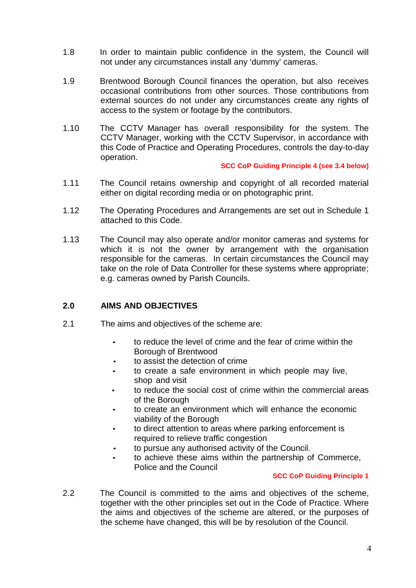- 1.8 In order to maintain public confidence in the system, the Council will not under any circumstances install any 'dummy' cameras.
- 1.9 Brentwood Borough Council finances the operation, but also receives occasional contributions from other sources. Those contributions from external sources do not under any circumstances create any rights of access to the system or footage by the contributors.
- 1.10 The CCTV Manager has overall responsibility for the system. The CCTV Manager, working with the CCTV Supervisor, in accordance with this Code of Practice and Operating Procedures, controls the day-to-day operation.

#### **SCC CoP Guiding Principle 4 (see 3.4 below)**

- 1.11 The Council retains ownership and copyright of all recorded material either on digital recording media or on photographic print.
- 1.12 The Operating Procedures and Arrangements are set out in Schedule 1 attached to this Code.
- 1.13 The Council may also operate and/or monitor cameras and systems for which it is not the owner by arrangement with the organisation responsible for the cameras. In certain circumstances the Council may take on the role of Data Controller for these systems where appropriate; e.g. cameras owned by Parish Councils.

#### **2.0 AIMS AND OBJECTIVES**

- 2.1 The aims and objectives of the scheme are:
	- to reduce the level of crime and the fear of crime within the Borough of Brentwood
	- to assist the detection of crime
	- to create a safe environment in which people may live, shop and visit
	- to reduce the social cost of crime within the commercial areas of the Borough
	- to create an environment which will enhance the economic viability of the Borough
	- to direct attention to areas where parking enforcement is required to relieve traffic congestion
	- to pursue any authorised activity of the Council.
	- to achieve these aims within the partnership of Commerce, Police and the Council

#### **SCC CoP Guiding Principle 1**

2.2 The Council is committed to the aims and objectives of the scheme, together with the other principles set out in the Code of Practice. Where the aims and objectives of the scheme are altered, or the purposes of the scheme have changed, this will be by resolution of the Council.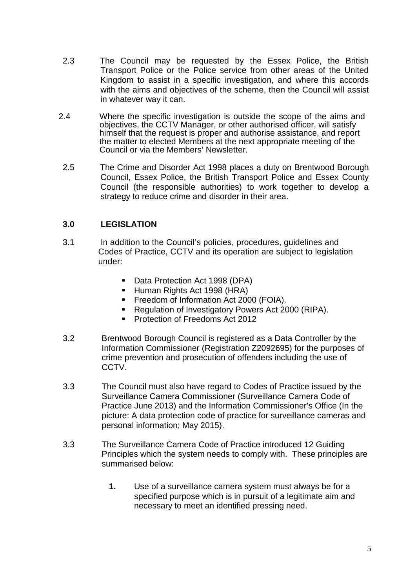- 2.3 The Council may be requested by the Essex Police, the British Transport Police or the Police service from other areas of the United Kingdom to assist in a specific investigation, and where this accords with the aims and objectives of the scheme, then the Council will assist in whatever way it can.
- 2.4 Where the specific investigation is outside the scope of the aims and objectives, the CCTV Manager, or other authorised officer, will satisfy himself that the request is proper and authorise assistance, and report the matter to elected Members at the next appropriate meeting of the Council or via the Members' Newsletter.
- 2.5 The Crime and Disorder Act 1998 places a duty on Brentwood Borough Council, Essex Police, the British Transport Police and Essex County Council (the responsible authorities) to work together to develop a strategy to reduce crime and disorder in their area.

## **3.0 LEGISLATION**

- 3.1 In addition to the Council's policies, procedures, guidelines and Codes of Practice, CCTV and its operation are subject to legislation under:
	- Data Protection Act 1998 (DPA)
	- Human Rights Act 1998 (HRA)
	- Freedom of Information Act 2000 (FOIA).
	- Regulation of Investigatory Powers Act 2000 (RIPA).
	- **Protection of Freedoms Act 2012**
- 3.2 Brentwood Borough Council is registered as a Data Controller by the Information Commissioner (Registration Z2092695) for the purposes of crime prevention and prosecution of offenders including the use of CCTV.
- 3.3 The Council must also have regard to Codes of Practice issued by the Surveillance Camera Commissioner (Surveillance Camera Code of Practice June 2013) and the Information Commissioner's Office (In the picture: A data protection code of practice for surveillance cameras and personal information; May 2015).
- 3.3 The Surveillance Camera Code of Practice introduced 12 Guiding Principles which the system needs to comply with. These principles are summarised below:
	- **1.** Use of a surveillance camera system must always be for a specified purpose which is in pursuit of a legitimate aim and necessary to meet an identified pressing need.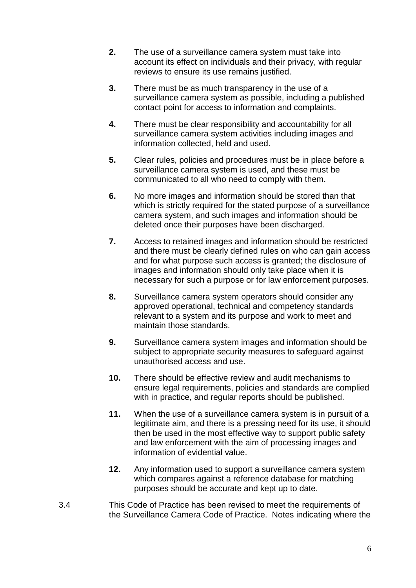- **2.** The use of a surveillance camera system must take into account its effect on individuals and their privacy, with regular reviews to ensure its use remains justified.
- **3.** There must be as much transparency in the use of a surveillance camera system as possible, including a published contact point for access to information and complaints.
- **4.** There must be clear responsibility and accountability for all surveillance camera system activities including images and information collected, held and used.
- **5.** Clear rules, policies and procedures must be in place before a surveillance camera system is used, and these must be communicated to all who need to comply with them.
- **6.** No more images and information should be stored than that which is strictly required for the stated purpose of a surveillance camera system, and such images and information should be deleted once their purposes have been discharged.
- **7.** Access to retained images and information should be restricted and there must be clearly defined rules on who can gain access and for what purpose such access is granted; the disclosure of images and information should only take place when it is necessary for such a purpose or for law enforcement purposes.
- **8.** Surveillance camera system operators should consider any approved operational, technical and competency standards relevant to a system and its purpose and work to meet and maintain those standards.
- **9.** Surveillance camera system images and information should be subject to appropriate security measures to safeguard against unauthorised access and use.
- **10.** There should be effective review and audit mechanisms to ensure legal requirements, policies and standards are complied with in practice, and regular reports should be published.
- **11.** When the use of a surveillance camera system is in pursuit of a legitimate aim, and there is a pressing need for its use, it should then be used in the most effective way to support public safety and law enforcement with the aim of processing images and information of evidential value.
- **12.** Any information used to support a surveillance camera system which compares against a reference database for matching purposes should be accurate and kept up to date.
- 3.4 This Code of Practice has been revised to meet the requirements of the Surveillance Camera Code of Practice. Notes indicating where the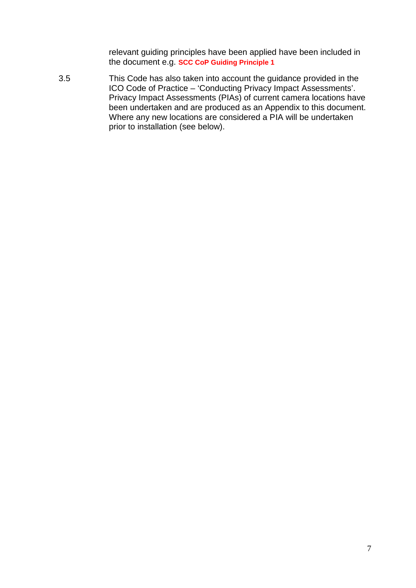relevant guiding principles have been applied have been included in the document e.g. **SCC CoP Guiding Principle 1**

3.5 This Code has also taken into account the guidance provided in the ICO Code of Practice – 'Conducting Privacy Impact Assessments'. Privacy Impact Assessments (PIAs) of current camera locations have been undertaken and are produced as an Appendix to this document. Where any new locations are considered a PIA will be undertaken prior to installation (see below).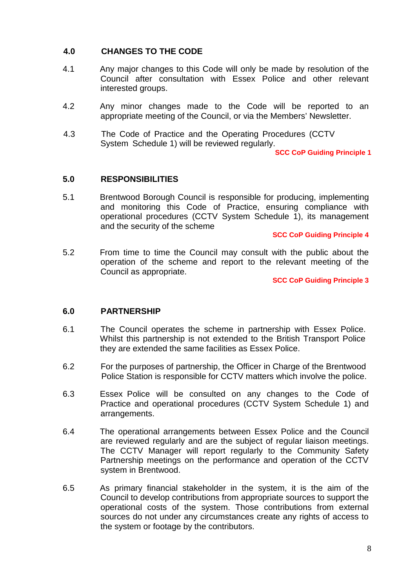#### **4.0 CHANGES TO THE CODE**

- 4.1 Any major changes to this Code will only be made by resolution of the Council after consultation with Essex Police and other relevant interested groups.
- 4.2 Any minor changes made to the Code will be reported to an appropriate meeting of the Council, or via the Members' Newsletter.
- 4.3 The Code of Practice and the Operating Procedures (CCTV System Schedule 1) will be reviewed regularly.

**SCC CoP Guiding Principle 1**

#### **5.0 RESPONSIBILITIES**

5.1 Brentwood Borough Council is responsible for producing, implementing and monitoring this Code of Practice, ensuring compliance with operational procedures (CCTV System Schedule 1), its management and the security of the scheme

**SCC CoP Guiding Principle 4**

5.2 From time to time the Council may consult with the public about the operation of the scheme and report to the relevant meeting of the Council as appropriate.

**SCC CoP Guiding Principle 3**

#### **6.0 PARTNERSHIP**

- 6.1 The Council operates the scheme in partnership with Essex Police. Whilst this partnership is not extended to the British Transport Police they are extended the same facilities as Essex Police.
- 6.2 For the purposes of partnership, the Officer in Charge of the Brentwood Police Station is responsible for CCTV matters which involve the police.
- 6.3 Essex Police will be consulted on any changes to the Code of Practice and operational procedures (CCTV System Schedule 1) and arrangements.
- 6.4 The operational arrangements between Essex Police and the Council are reviewed regularly and are the subject of regular liaison meetings. The CCTV Manager will report regularly to the Community Safety Partnership meetings on the performance and operation of the CCTV system in Brentwood.
- 6.5 As primary financial stakeholder in the system, it is the aim of the Council to develop contributions from appropriate sources to support the operational costs of the system. Those contributions from external sources do not under any circumstances create any rights of access to the system or footage by the contributors.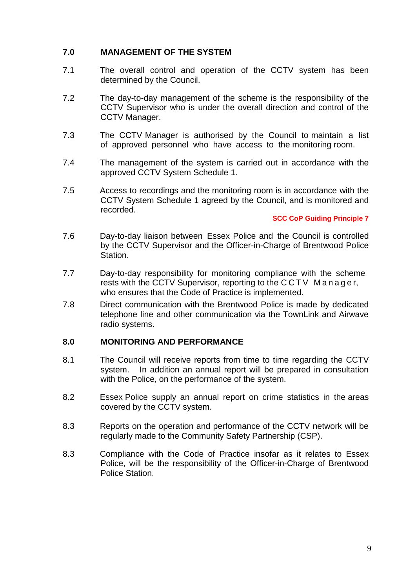## **7.0 MANAGEMENT OF THE SYSTEM**

- 7.1 The overall control and operation of the CCTV system has been determined by the Council.
- 7.2 The day-to-day management of the scheme is the responsibility of the CCTV Supervisor who is under the overall direction and control of the CCTV Manager.
- 7.3 The CCTV Manager is authorised by the Council to maintain a list of approved personnel who have access to the monitoring room.
- 7.4 The management of the system is carried out in accordance with the approved CCTV System Schedule 1.
- 7.5 Access to recordings and the monitoring room is in accordance with the CCTV System Schedule 1 agreed by the Council, and is monitored and recorded.

#### **SCC CoP Guiding Principle 7**

- 7.6 Day-to-day liaison between Essex Police and the Council is controlled by the CCTV Supervisor and the Officer-in-Charge of Brentwood Police Station.
- 7.7 Day-to-day responsibility for monitoring compliance with the scheme Day-to-day liaison between Essex Police and the Council is controlled<br>by the CCTV Supervisor and the Officer-in-Charge of Brentwood Police<br>Station.<br>Day-to-day responsibility for monitoring compliance with the scheme<br>rests
- 7.8 Direct communication with the Brentwood Police is made by dedicated telephone line and other communication via the TownLink and Airwave radio systems.

#### **8.0 MONITORING AND PERFORMANCE**

- 8.1 The Council will receive reports from time to time regarding the CCTV system. In addition an annual report will be prepared in consultation with the Police, on the performance of the system.
- 8.2 Essex Police supply an annual report on crime statistics in the areas covered by the CCTV system.
- 8.3 Reports on the operation and performance of the CCTV network will be regularly made to the Community Safety Partnership (CSP).
- 8.3 Compliance with the Code of Practice insofar as it relates to Essex Police, will be the responsibility of the Officer-in-Charge of Brentwood Police Station.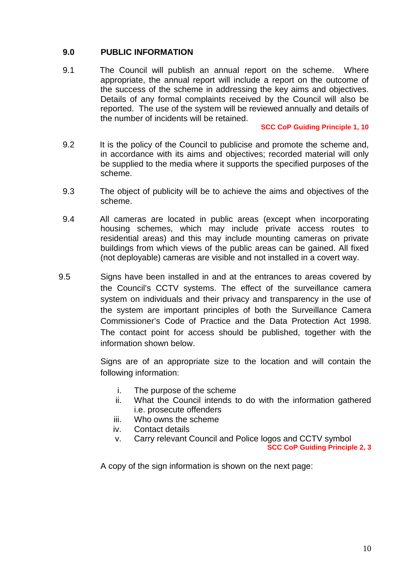#### **9.0 PUBLIC INFORMATION**

9.1 The Council will publish an annual report on the scheme. Where appropriate, the annual report will include a report on the outcome of the success of the scheme in addressing the key aims and objectives. Details of any formal complaints received by the Council will also be reported. The use of the system will be reviewed annually and details of the number of incidents will be retained.

#### **SCC CoP Guiding Principle 1, 10**

- 9.2 It is the policy of the Council to publicise and promote the scheme and, in accordance with its aims and objectives; recorded material will only be supplied to the media where it supports the specified purposes of the scheme.
- 9.3 The object of publicity will be to achieve the aims and objectives of the scheme.
- 9.4 All cameras are located in public areas (except when incorporating housing schemes, which may include private access routes to residential areas) and this may include mounting cameras on private buildings from which views of the public areas can be gained. All fixed (not deployable) cameras are visible and not installed in a covert way.
- 9.5 Signs have been installed in and at the entrances to areas covered by the Council's CCTV systems. The effect of the surveillance camera system on individuals and their privacy and transparency in the use of the system are important principles of both the Surveillance Camera Commissioner's Code of Practice and the Data Protection Act 1998. The contact point for access should be published, together with the information shown below.

Signs are of an appropriate size to the location and will contain the following information:

- i. The purpose of the scheme
- ii. What the Council intends to do with the information gathered i.e. prosecute offenders
- iii. Who owns the scheme
- iv. Contact details
- v. Carry relevant Council and Police logos and CCTV symbol

**SCC CoP Guiding Principle 2, 3**

A copy of the sign information is shown on the next page: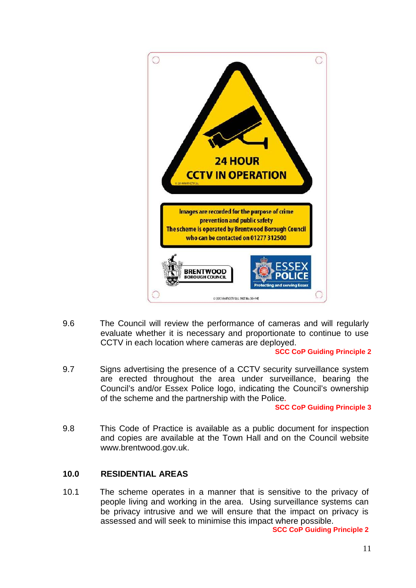

9.6 The Council will review the performance of cameras and will regularly evaluate whether it is necessary and proportionate to continue to use CCTV in each location where cameras are deployed.

#### **SCC CoP Guiding Principle 2**

9.7 Signs advertising the presence of a CCTV security surveillance system are erected throughout the area under surveillance, bearing the Council's and/or Essex Police logo, indicating the Council's ownership of the scheme and the partnership with the Police**.**

#### **SCC CoP Guiding Principle 3**

9.8 This Code of Practice is available as a public document for inspection and copies are available at the Town Hall and on the Council website www.brentwood.gov.uk.

#### **10.0 RESIDENTIAL AREAS**

10.1 The scheme operates in a manner that is sensitive to the privacy of people living and working in the area. Using surveillance systems can be privacy intrusive and we will ensure that the impact on privacy is assessed and will seek to minimise this impact where possible.

**SCC CoP Guiding Principle 2**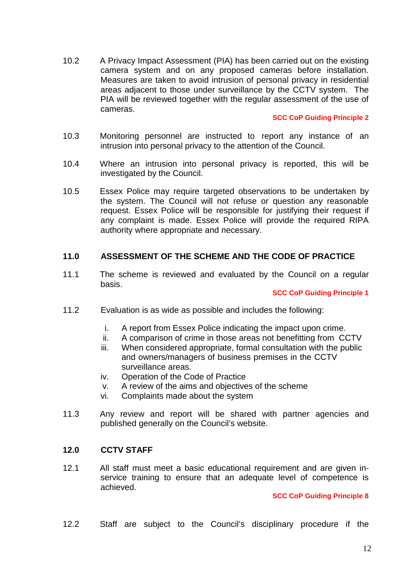10.2 A Privacy Impact Assessment (PIA) has been carried out on the existing camera system and on any proposed cameras before installation. Measures are taken to avoid intrusion of personal privacy in residential areas adjacent to those under surveillance by the CCTV system. The PIA will be reviewed together with the regular assessment of the use of cameras.

#### **SCC CoP Guiding Principle 2**

- 10.3 Monitoring personnel are instructed to report any instance of an intrusion into personal privacy to the attention of the Council.
- 10.4 Where an intrusion into personal privacy is reported, this will be investigated by the Council.
- 10.5 Essex Police may require targeted observations to be undertaken by the system. The Council will not refuse or question any reasonable request. Essex Police will be responsible for justifying their request if any complaint is made. Essex Police will provide the required RIPA authority where appropriate and necessary.

#### **11.0 ASSESSMENT OF THE SCHEME AND THE CODE OF PRACTICE**

11.1 The scheme is reviewed and evaluated by the Council on a regular basis.

#### **SCC CoP Guiding Principle 1**

- 11.2 Evaluation is as wide as possible and includes the following:
	- i. A report from Essex Police indicating the impact upon crime.
	- ii. A comparison of crime in those areas not benefitting from CCTV
	- iii. When considered appropriate, formal consultation with the public and owners/managers of business premises in the CCTV surveillance areas.
	- iv. Operation of the Code of Practice
	- v. A review of the aims and objectives of the scheme
	- vi. Complaints made about the system
- 11.3 Any review and report will be shared with partner agencies and published generally on the Council's website.

#### **12.0 CCTV STAFF**

12.1 All staff must meet a basic educational requirement and are given in service training to ensure that an adequate level of competence is achieved.

#### **SCC CoP Guiding Principle 8**

12.2 Staff are subject to the Council's disciplinary procedure if the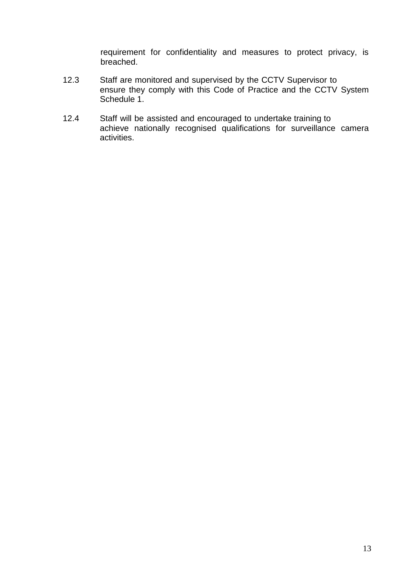requirement for confidentiality and measures to protect privacy, is breached.

- 12.3 Staff are monitored and supervised by the CCTV Supervisor to ensure they comply with this Code of Practice and the CCTV System Schedule 1.
- 12.4 Staff will be assisted and encouraged to undertake training to achieve nationally recognised qualifications for surveillance camera activities.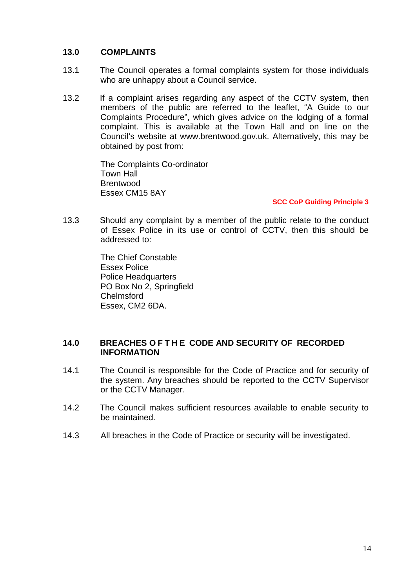#### **13.0 COMPLAINTS**

- 13.1 The Council operates a formal complaints system for those individuals who are unhappy about a Council service.
- 13.2 If a complaint arises regarding any aspect of the CCTV system, then members of the public are referred to the leaflet, "A Guide to our Complaints Procedure", which gives advice on the lodging of a formal complaint. This is available at the Town Hall and on line on the Council's website at www.brentwood.gov.uk. Alternatively, this may be obtained by post from:

The Complaints Co-ordinator Town Hall **Brentwood** Essex CM15 8AY

#### **SCC CoP Guiding Principle 3**

13.3 Should any complaint by a member of the public relate to the conduct of Essex Police in its use or control of CCTV, then this should be addressed to:

> The Chief Constable Essex Police Police Headquarters PO Box No 2, Springfield Chelmsford Essex, CM2 6DA.

# **14.0 BREACHES O F T H E CODE AND SECURITY OF RECORDED INFORMATION**

- 14.1 The Council is responsible for the Code of Practice and for security of the system. Any breaches should be reported to the CCTV Supervisor or the CCTV Manager.
- 14.2 The Council makes sufficient resources available to enable security to be maintained.
- 14.3 All breaches in the Code of Practice or security will be investigated.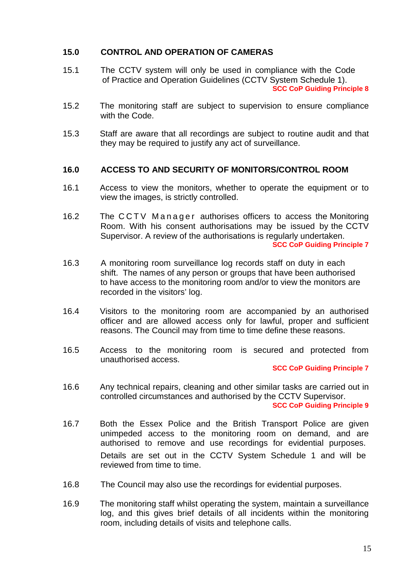#### **15.0 CONTROL AND OPERATION OF CAMERAS**

- 15.1 The CCTV system will only be used in compliance with the Code of Practice and Operation Guidelines (CCTV System Schedule 1). **SCC CoP Guiding Principle 8**
- 15.2 The monitoring staff are subject to supervision to ensure compliance with the Code.
- 15.3 Staff are aware that all recordings are subject to routine audit and that they may be required to justify any act of surveillance.

#### **16.0 ACCESS TO AND SECURITY OF MONITORS/CONTROL ROOM**

- 16.1 Access to view the monitors, whether to operate the equipment or to view the images, is strictly controlled.
- 16.0 **ACCESS TO AND SECURITY OF MONITORS/CONTROL ROOM**<br>16.1 Access to view the monitors, whether to operate the equipment or to<br>16.2 The C C T V M a n a g e r authorises officers to access the Monitoring<br>16.2 The C C T V M Room. With his consent authorisations may be issued by the CCTV Supervisor. A review of the authorisations is regularly undertaken. **SCC CoP Guiding Principle 7**
- 16.3 A monitoring room surveillance log records staff on duty in each shift. The names of any person or groups that have been authorised to have access to the monitoring room and/or to view the monitors are recorded in the visitors' log.
- 16.4 Visitors to the monitoring room are accompanied by an authorised officer and are allowed access only for lawful, proper and sufficient reasons. The Council may from time to time define these reasons.
- 16.5 Access to the monitoring room is secured and protected from unauthorised access.

#### **SCC CoP Guiding Principle 7**

- 16.6 Any technical repairs, cleaning and other similar tasks are carried out in controlled circumstances and authorised by the CCTV Supervisor. **SCC CoP Guiding Principle 9**
- 16.7 Both the Essex Police and the British Transport Police are given unimpeded access to the monitoring room on demand, and are authorised to remove and use recordings for evidential purposes. Details are set out in the CCTV System Schedule 1 and will be reviewed from time to time.
- 16.8 The Council may also use the recordings for evidential purposes.
- 16.9 The monitoring staff whilst operating the system, maintain a surveillance log, and this gives brief details of all incidents within the monitoring room, including details of visits and telephone calls.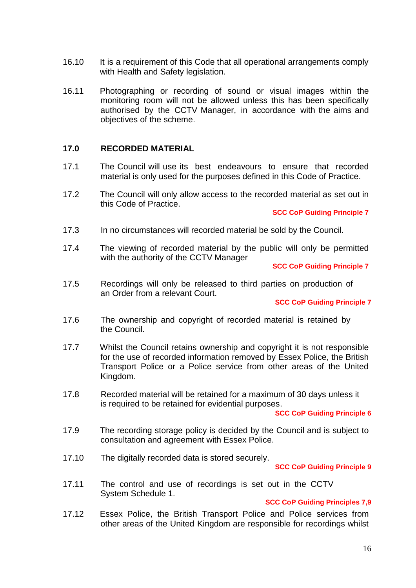- 16.10 It is a requirement of this Code that all operational arrangements comply with Health and Safety legislation.
- 16.11 Photographing or recording of sound or visual images within the monitoring room will not be allowed unless this has been specifically authorised by the CCTV Manager, in accordance with the aims and objectives of the scheme.

#### **17.0 RECORDED MATERIAL**

- 17.1 The Council will use its best endeavours to ensure that recorded material is only used for the purposes defined in this Code of Practice.
- 17.2 The Council will only allow access to the recorded material as setout in this Code of Practice.

#### **SCC CoP Guiding Principle 7**

- 17.3 In no circumstances will recorded material be sold by the Council.
- 17.4 The viewing of recorded material by the public will only be permitted with the authority of the CCTV Manager

**SCC CoP Guiding Principle 7**

17.5 Recordings will only be released to third parties on production of an Order from a relevant Court.

#### **SCC CoP Guiding Principle 7**

- 17.6 The ownership and copyright of recorded material is retained by the Council.
- 17.7 Whilst the Council retains ownership and copyright it is not responsible for the use of recorded information removed by Essex Police, the British Transport Police or a Police service from other areas of the United Kingdom.
- 17.8 Recorded material will be retained for a maximum of 30 days unless it is required to be retained for evidential purposes.

#### **SCC CoP Guiding Principle 6**

- 17.9 The recording storage policy is decided by the Council and is subject to consultation and agreement with Essex Police.
- 17.10 The digitally recorded data is stored securely.

#### **SCC CoP Guiding Principle 9**

17.11 The control and use of recordings is set out in the CCTV System Schedule 1.

#### **SCC CoP Guiding Principles 7,9**

17.12 Essex Police, the British Transport Police and Police services from other areas of the United Kingdom are responsible for recordings whilst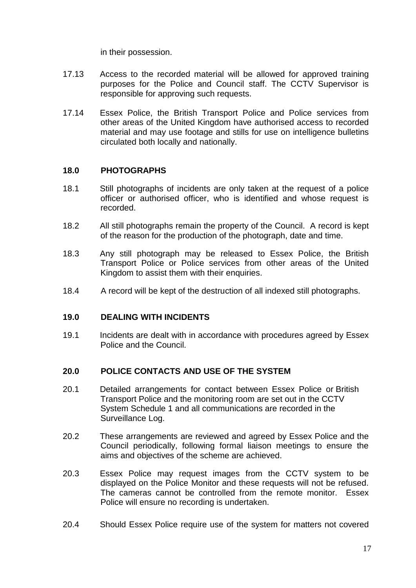in their possession.

- 17.13 Access to the recorded material will be allowed forapproved training purposes for the Police and Council staff. The CCTV Supervisor is responsible for approving such requests.
- 17.14 Essex Police, the British Transport Police and Police services from other areas of the United Kingdom have authorised access to recorded material and may use footage and stills for use on intelligence bulletins circulated both locally and nationally.

#### **18.0 PHOTOGRAPHS**

- 18.1 Still photographs of incidents are only taken at the request of a police officer or authorised officer, who is identified and whose request is recorded.
- 18.2 All still photographs remain the property of the Council. A record is kept of the reason for the production of the photograph, date and time.
- 18.3 Any still photograph may be released to Essex Police, the British Transport Police or Police services from other areas of the United Kingdom to assist them with their enquiries.
- 18.4 A record will be kept of the destruction of allindexed still photographs.

#### **19.0 DEALING WITH INCIDENTS**

19.1 Incidents are dealt with in accordance with procedures agreed by Essex Police and the Council.

#### **20.0 POLICE CONTACTS AND USE OF THE SYSTEM**

- 20.1 Detailed arrangements for contact between Essex Police or British Transport Police and the monitoring room are set out in the CCTV System Schedule 1 and all communications are recorded in the Surveillance Log.
- 20.2 These arrangements are reviewed and agreed by Essex Police and the Council periodically, following formal liaison meetings to ensure the aims and objectives of the scheme are achieved.
- 20.3 Essex Police may request images from the CCTV system to be displayed on the Police Monitor and these requests will not be refused. The cameras cannot be controlled from the remote monitor. Essex Police will ensure no recording is undertaken.
- 20.4 Should Essex Police require use of the system for matters not covered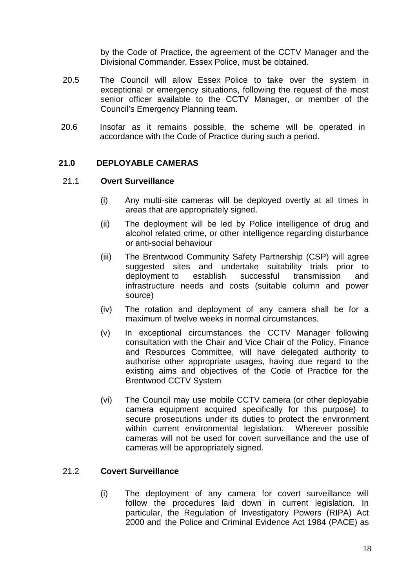by the Code of Practice, the agreement of the CCTV Manager and the Divisional Commander, Essex Police, must be obtained.

- 20.5 The Council will allow Essex Police to take over the system in exceptional or emergency situations, following the request of the most senior officer available to the CCTV Manager, or member of the Council's Emergency Planning team.
- 20.6 Insofar as it remains possible, the scheme will be operated in accordance with the Code of Practice during such a period.

#### **21.0 DEPLOYABLE CAMERAS**

#### 21.1 **Overt Surveillance**

- (i) Any multi-site cameras will be deployed overtly at all times in areas that are appropriately signed.
- (ii) The deployment will be led by Police intelligence of drug and alcohol related crime, or other intelligence regarding disturbance or anti-social behaviour
- (iii) The Brentwood Community Safety Partnership (CSP) will agree suggested sites and undertake suitability trials prior to deployment to establish successful transmission and infrastructure needs and costs (suitable column and power source)
- (iv) The rotation and deployment of any camera shall be for a maximum of twelve weeks in normal circumstances.
- (v) In exceptional circumstances the CCTV Manager following consultation with the Chair and Vice Chair of the Policy, Finance and Resources Committee, will have delegated authority to authorise other appropriate usages, having due regard to the existing aims and objectives of the Code of Practice for the Brentwood CCTV System
- (vi) The Council may use mobile CCTV camera (or other deployable camera equipment acquired specifically for this purpose) to secure prosecutions under its duties to protect the environment within current environmental legislation. Wherever possible cameras will not be used for covert surveillance and the use of cameras will be appropriately signed.

#### 21.2 **Covert Surveillance**

(i) The deployment of any camera for covert surveillance will follow the procedures laid down in current legislation. In particular, the Regulation of Investigatory Powers (RIPA) Act 2000 and the Police and Criminal Evidence Act 1984 (PACE) as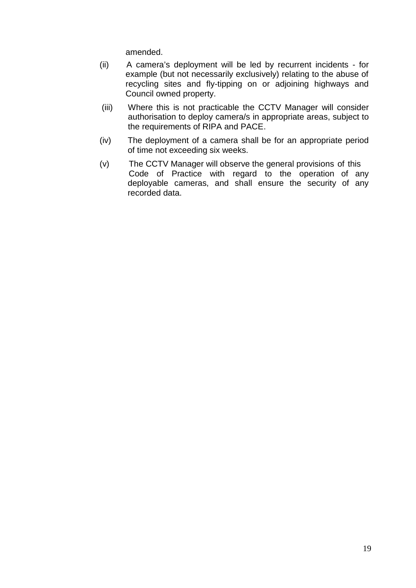amended.

- (ii) A camera's deployment will be led by recurrent incidents for example (but not necessarily exclusively) relating to the abuse of recycling sites and fly-tipping on or adjoining highways and Council owned property.
- (iii) Where this is not practicable the CCTV Manager will consider authorisation to deploy camera/s in appropriate areas, subject to the requirements of RIPA and PACE.
- $(iv)$  The deployment of a camera shall be for an appropriate period of time not exceeding six weeks.
- (v) The CCTV Manager will observe the general provisions of this Code of Practice with regard to the operation of any deployable cameras, and shall ensure the security of any recorded data.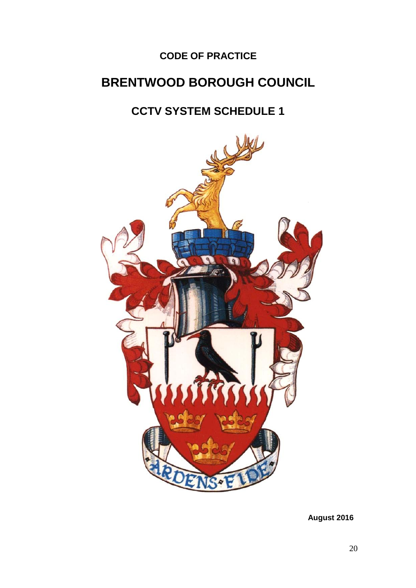# **CODE OF PRACTICE**

# **BRENTWOOD BOROUGH COUNCIL**

# **CCTV SYSTEM SCHEDULE 1**



**August 2016**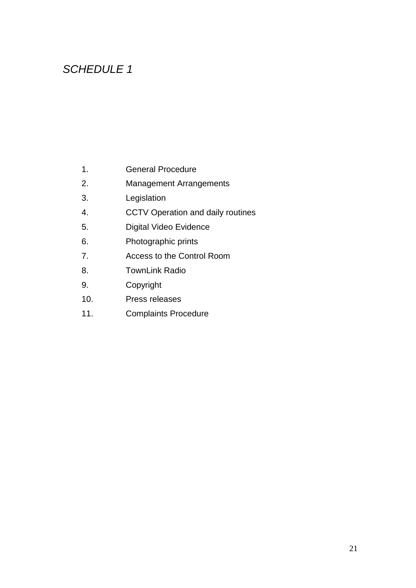# *SCHEDULE 1*

- 1. General Procedure
- 2. Management Arrangements
- 3. Legislation
- 4. CCTV Operation and daily routines
- 5. Digital Video Evidence
- 6. Photographic prints
- 7. Access to the Control Room
- 8. TownLink Radio
- 9. Copyright
- 10. Press releases
- 11. Complaints Procedure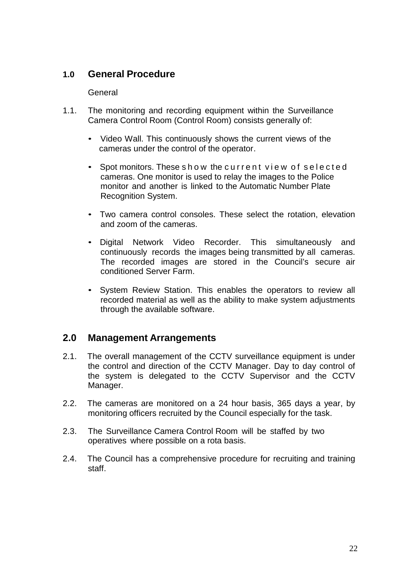## **1.0 General Procedure**

#### General

- 1.1. The monitoring and recording equipment within the Surveillance Camera Control Room (Control Room) consists generally of:
	- Video Wall. This continuously shows the current views of the cameras under the control of the operator.
	- Camera Control Room (Control Room) consists generally of:<br>
	 Video Wall. This continuously shows the current views of the<br>
	cameras under the control of the operator.<br>
	 Spot monitors. These s h o w the c u r r e n t v i e cameras. One monitor is used to relay the images to the Police monitor and another is linked to the Automatic Number Plate Recognition System.
	- Two camera control consoles. These select the rotation, elevation and zoom of the cameras.
	- Digital Network Video Recorder. This simultaneously and continuously records the images being transmitted by all cameras. The recorded images are stored in the Council's secure air conditioned Server Farm.
	- System Review Station. This enables the operators to review all recorded material as well as the ability to make system adjustments through the available software.

## **2.0 Management Arrangements**

- 2.1. The overall management of the CCTV surveillance equipment is under the control and direction of the CCTV Manager. Day to day control of the system is delegated to the CCTV Supervisor and the CCTV Manager.
- 2.2. The cameras are monitored on a 24 hour basis, 365 days a year, by monitoring officers recruited by the Council especially for the task.
- 2.3. The Surveillance Camera Control Room will be staffed by two operatives where possible on a rota basis.
- 2.4. The Council has a comprehensive procedure for recruiting and training staff.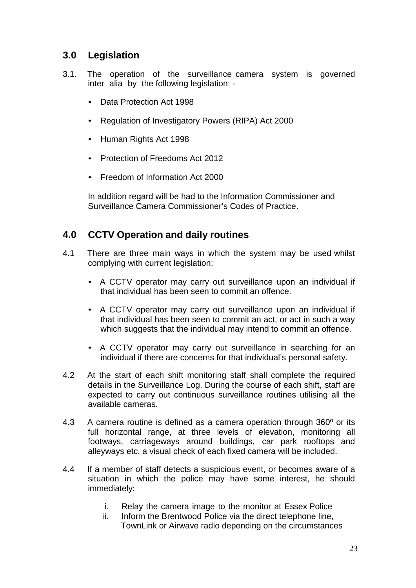# **3.0 Legislation**

- 3.1. The operation of the surveillance camera system is governed inter alia by the following legislation: -
	- Data Protection Act 1998
	- Regulation of Investigatory Powers (RIPA) Act 2000
	- Human Rights Act 1998
	- Protection of Freedoms Act 2012
	- Freedom of Information Act 2000

In addition regard will be had to the Information Commissioner and Surveillance Camera Commissioner's Codes of Practice.

# **4.0 CCTV Operation and daily routines**

- 4.1 There are three main ways in which the system may be used whilst complying with current legislation:
	- A CCTV operator may carry out surveillance upon an individual if that individual has been seen to commit an offence.
	- A CCTV operator may carry out surveillance upon an individual if that individual has been seen to commit an act, or act in such a way which suggests that the individual may intend to commit an offence.
	- A CCTV operator may carry out surveillance in searching for an individual if there are concerns for that individual's personal safety.
- 4.2 At the start of each shift monitoring staff shall complete the required details in the Surveillance Log. During the course of each shift, staff are expected to carry out continuous surveillance routines utilising all the available cameras.
- 4.3 A camera routine is defined as a camera operation through 360<sup>°</sup> or its full horizontal range, at three levels of elevation, monitoring all footways, carriageways around buildings, car park rooftops and alleyways etc. a visual check of each fixed camera will be included.
- 4.4 If a member of staff detects a suspicious event, or becomes aware of a situation in which the police may have some interest, he should immediately:
	- i. Relay the camera image to the monitor at Essex Police
	- ii. Inform the Brentwood Police via the direct telephone line, TownLink or Airwave radio depending on the circumstances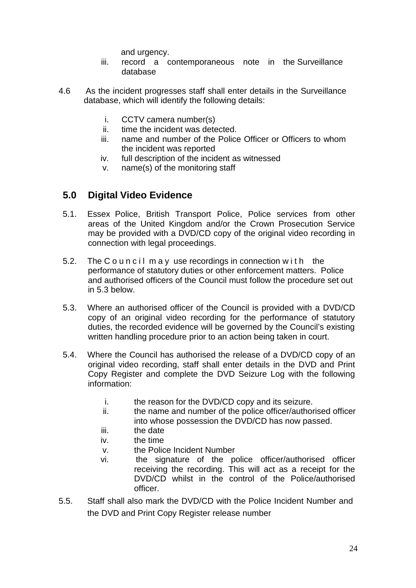and urgency.

- iii. record a contemporaneous note in the Surveillance database
- 4.6 As the incident progresses staff shall enter details in the Surveillance database, which will identify the following details:
	- i. CCTV camera number(s)
	- ii. time the incident was detected.
	- iii. name and number of the Police Officer or Officers to whom the incident was reported
	- iv. full description of the incident as witnessed
	- v. name(s) of the monitoring staff

# **5.0 Digital Video Evidence**

- 5.1. Essex Police, British Transport Police, Police services from other areas of the United Kingdom and/or the Crown Prosecution Service may be provided with a DVD/CD copy of the original video recording in connection with legal proceedings. 5.1. Essex Police, British Transport Police, Police services from other<br>areas of the United Kingdom and/or the Crown Prosecution Service<br>may be provided with a DVD/CD copy of the original video recording in<br>connection with
- performance of statutory duties or other enforcement matters. Police and authorised officers of the Council must follow the procedure set out in 5.3 below.
- 5.3. Where an authorised officer of the Council is provided with a DVD/CD copy of an original video recording for the performance of statutory duties, the recorded evidence will be governed by the Council's existing written handling procedure prior to an action being taken in court.
- 5.4. Where the Council has authorised the release of a DVD/CD copy of an original video recording, staff shall enter details in the DVD and Print Copy Register and complete the DVD Seizure Log with the following information:
	- i. the reason for the DVD/CD copy and its seizure.
	- ii. the name and number of the police officer/authorised officer into whose possession the DVD/CD has now passed.
	- iii. the date
	- iv. the time
	- v. the Police Incident Number
	- vi. the signature of the police officer/authorised officer receiving the recording. This will act as a receipt for the DVD/CD whilst in the control of the Police/authorised officer.
- 5.5. Staff shall also mark the DVD/CD with the Police Incident Number and the DVD and Print Copy Register release number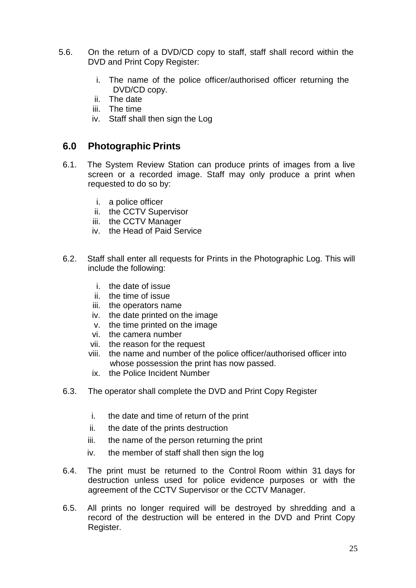- 5.6. On the return of a DVD/CD copy to staff, staff shall record within the DVD and Print Copy Register:
	- i. The name of the police officer/authorised officer returning the DVD/CD copy.
	- ii. The date
	- iii. The time
	- iv. Staff shall then sign the Log

# **6.0 Photographic Prints**

- 6.1. The System Review Station can produce prints of images from a live screen or a recorded image. Staff may only produce a print when requested to do so by:
	- i. a police officer
	- ii. the CCTV Supervisor
	- iii. the CCTV Manager
	- iv. the Head of Paid Service
- 6.2. Staff shall enter all requests for Prints in the Photographic Log. This will include the following:
	- i. the date of issue
	- ii. the time of issue
	- iii. the operators name
	- iv. the date printed on the image
	- v. the time printed on the image
	- vi. the camera number
	- vii. the reason for the request
	- viii. the name and number of the police officer/authorised officer into whose possession the print has now passed.
	- ix. the Police Incident Number
- 6.3. The operator shall complete the DVD and Print Copy Register
	- i. the date and time of return of the print
	- ii. the date of the prints destruction
	- iii. the name of the person returning the print
	- iv. the member of staff shall then sign the log
- 6.4. The print must be returned to the Control Room within 31 days for destruction unless used for police evidence purposes or with the agreement of the CCTV Supervisor or the CCTV Manager.
- 6.5. All prints no longer required will be destroyed by shredding and a record of the destruction will be entered in the DVD and Print Copy Register.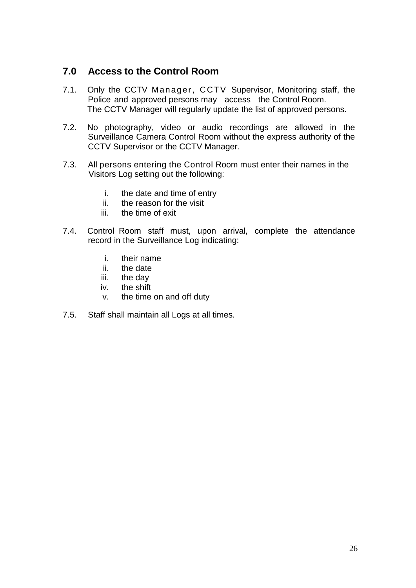# **7.0 Access to the Control Room**

- 7.1. Only the CCTV Manager, CCTV Supervisor, Monitoring staff, the Police and approved persons may access the Control Room. The CCTV Manager will regularly update the list of approved persons.
- 7.2. No photography, video or audio recordings are allowed in the Surveillance Camera Control Room without the express authority of the CCTV Supervisor or the CCTV Manager.
- 7.3. All persons entering the Control Room must enter their names in the Visitors Log setting out the following:
	- i. the date and time of entry
	- ii. the reason for the visit
	- iii. the time of exit
- 7.4. Control Room staff must, upon arrival, complete the attendance record in the Surveillance Log indicating:
	- i. their name
	- ii. the date
	- iii. the day
	- iv. the shift
	- v. the time on and off duty
- 7.5. Staff shall maintain all Logs at all times.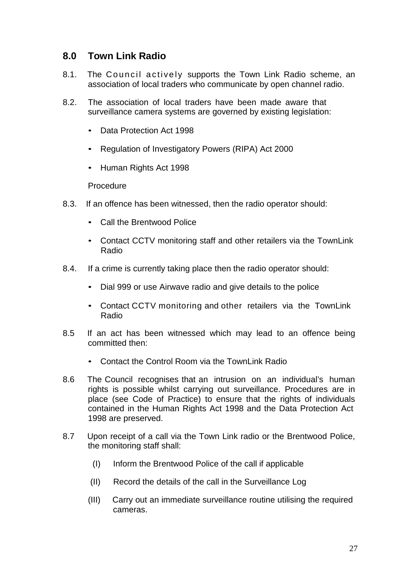# **8.0 Town Link Radio**

- 8.0 Town Link Radio<br>8.1. The Council actively supports the Town Link Radio scheme, an<br>association of local traders who communicate by open channel radio. association of local traders who communicate by open channel radio.
- 8.2. The association of local traders have been made aware that surveillance camera systems are governed by existing legislation:
	- Data Protection Act 1998
	- Regulation of Investigatory Powers (RIPA) Act 2000
	- Human Rights Act 1998

Procedure

- 8.3. If an offence has been witnessed, then the radio operator should:
	- Call the Brentwood Police
	- Contact CCTV monitoring staff and other retailers via the TownLink Radio
- 8.4. If a crime is currently taking place then the radio operator should:
	- Dial 999 or use Airwave radio and give details to the police
	- Contact CCTV monitoring and other retailers via the TownLink Radio
- 8.5 If an act has been witnessed which may lead to an offence being committed then:
	- Contact the Control Room via the TownLink Radio
- 8.6 The Council recognises that an intrusion on an individual's human rights is possible whilst carrying out surveillance. Procedures are in place (see Code of Practice) to ensure that the rights of individuals contained in the Human Rights Act 1998 and the Data Protection Act 1998 are preserved.
- 8.7 Upon receipt of a call via the Town Link radio or the Brentwood Police, the monitoring staff shall:
	- (I) Inform the Brentwood Police of the call if applicable
	- (II) Record the details of the call in the Surveillance Log
	- (III) Carry out an immediate surveillance routine utilising the required cameras.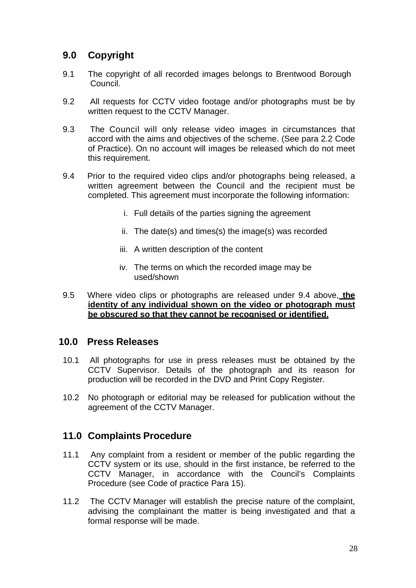# **9.0 Copyright**

- 9.1 The copyright of all recorded images belongs to Brentwood Borough Council.
- 9.2 All requests for CCTV video footage and/or photographs must be by written request to the CCTV Manager.
- 9.3 The Council will only release video images in circumstances that accord with the aims and objectives of the scheme. (See para 2.2 Code of Practice). On no account will images be released which do not meet this requirement.
- 9.4 Prior to the required video clips and/or photographs being released, a written agreement between the Council and the recipient must be completed. This agreement must incorporate the following information:
	- i. Full details of the parties signing the agreement
	- ii. The date(s) and times(s) the image(s) was recorded
	- iii. A written description of the content
	- iv. The terms on which the recorded image may be used/shown
- 9.5 Where video clips or photographs are released under 9.4 above, **the identity of any individual shown on the video or photograph must be obscured so that they cannot be recognised or identified.**

## **10.0 Press Releases**

- 10.1 All photographs for use in press releases must be obtained by the CCTV Supervisor. Details of the photograph and its reason for production will be recorded in the DVD and Print Copy Register.
- 10.2 No photograph or editorial may be released for publication without the agreement of the CCTV Manager.

## **11.0 Complaints Procedure**

- 11.1 Any complaint from a resident or member of the public regarding the CCTV system or its use, should in the first instance, be referred to the CCTV Manager, in accordance with the Council's Complaints Procedure (see Code of practice Para 15).
- 11.2 The CCTV Manager will establish the precise nature of the complaint, advising the complainant the matter is being investigated and that a formal response will be made.